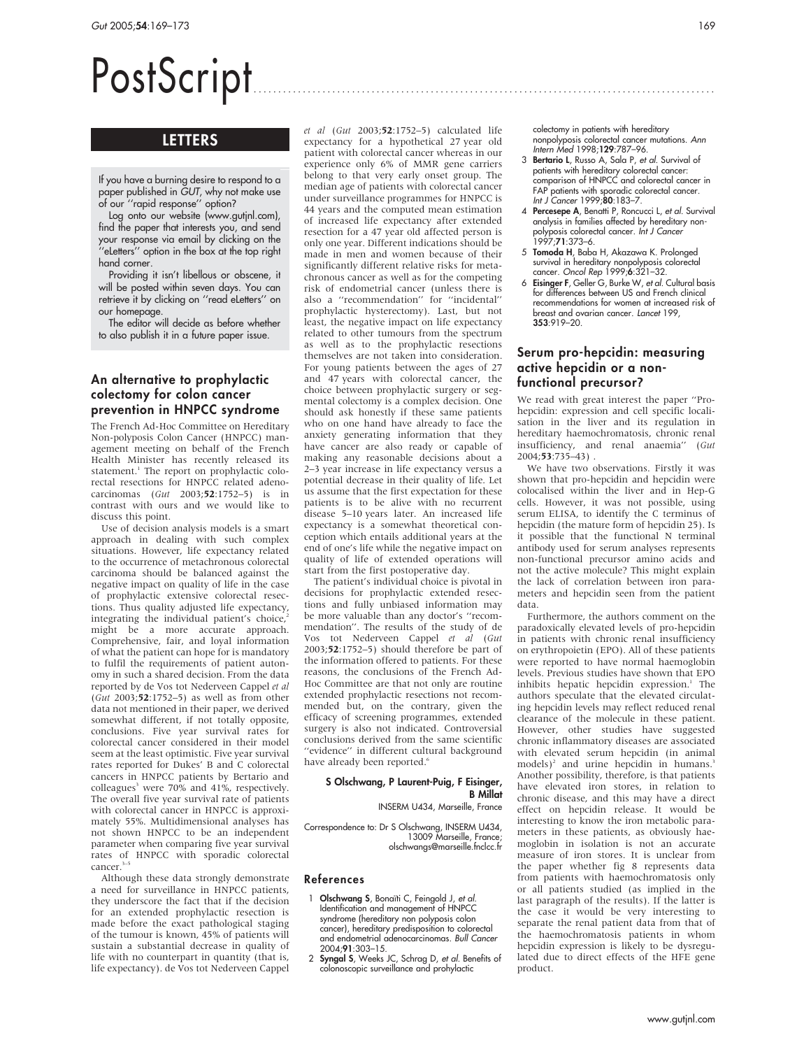# PostScript ..............................................................................................

# LETTERS

If you have a burning desire to respond to a paper published in GUT, why not make use of our ''rapid response'' option?

Log onto our website (www.gutjnl.com), find the paper that interests you, and send your response via email by clicking on the ''eLetters'' option in the box at the top right hand corner.

Providing it isn't libellous or obscene, it will be posted within seven days. You can retrieve it by clicking on ''read eLetters'' on our homepage.

The editor will decide as before whether to also publish it in a future paper issue.

## An alternative to prophylactic colectomy for colon cancer prevention in HNPCC syndrome

The French Ad-Hoc Committee on Hereditary Non-polyposis Colon Cancer (HNPCC) management meeting on behalf of the French Health Minister has recently released its statement.<sup>1</sup> The report on prophylactic colorectal resections for HNPCC related adenocarcinomas (Gut 2003;52:1752–5) is in contrast with ours and we would like to discuss this point.

Use of decision analysis models is a smart approach in dealing with such complex situations. However, life expectancy related to the occurrence of metachronous colorectal carcinoma should be balanced against the negative impact on quality of life in the case of prophylactic extensive colorectal resections. Thus quality adjusted life expectancy, integrating the individual patient's choice, might be a more accurate approach. Comprehensive, fair, and loyal information of what the patient can hope for is mandatory to fulfil the requirements of patient autonomy in such a shared decision. From the data reported by de Vos tot Nederveen Cappel et al (Gut 2003;52:1752–5) as well as from other data not mentioned in their paper, we derived somewhat different, if not totally opposite, conclusions. Five year survival rates for colorectal cancer considered in their model seem at the least optimistic. Five year survival rates reported for Dukes' B and C colorectal cancers in HNPCC patients by Bertario and colleagues<sup>3</sup> were 70% and 41%, respectively. The overall five year survival rate of patients with colorectal cancer in HNPCC is approximately 55%. Multidimensional analyses has not shown HNPCC to be an independent parameter when comparing five year survival rates of HNPCC with sporadic colorectal cancer.<sup>3–</sup>

Although these data strongly demonstrate a need for surveillance in HNPCC patients, they underscore the fact that if the decision for an extended prophylactic resection is made before the exact pathological staging of the tumour is known, 45% of patients will sustain a substantial decrease in quality of life with no counterpart in quantity (that is, life expectancy). de Vos tot Nederveen Cappel et al (Gut 2003;52:1752–5) calculated life expectancy for a hypothetical 27 year old patient with colorectal cancer whereas in our experience only 6% of MMR gene carriers belong to that very early onset group. The median age of patients with colorectal cancer under surveillance programmes for HNPCC is 44 years and the computed mean estimation of increased life expectancy after extended resection for a 47 year old affected person is only one year. Different indications should be made in men and women because of their significantly different relative risks for metachronous cancer as well as for the competing risk of endometrial cancer (unless there is also a ''recommendation'' for ''incidental'' prophylactic hysterectomy). Last, but not least, the negative impact on life expectancy related to other tumours from the spectrum as well as to the prophylactic resections themselves are not taken into consideration. For young patients between the ages of 27 and 47 years with colorectal cancer, the choice between prophylactic surgery or segmental colectomy is a complex decision. One should ask honestly if these same patients who on one hand have already to face the anxiety generating information that they have cancer are also ready or capable of making any reasonable decisions about a 2–3 year increase in life expectancy versus a potential decrease in their quality of life. Let us assume that the first expectation for these patients is to be alive with no recurrent disease 5–10 years later. An increased life expectancy is a somewhat theoretical conception which entails additional years at the end of one's life while the negative impact on quality of life of extended operations will start from the first postoperative day.

The patient's individual choice is pivotal in decisions for prophylactic extended resections and fully unbiased information may be more valuable than any doctor's ''recommendation''. The results of the study of de Vos tot Nederveen Cappel et al (Gut 2003;52:1752–5) should therefore be part of the information offered to patients. For these reasons, the conclusions of the French Ad-Hoc Committee are that not only are routine extended prophylactic resections not recommended but, on the contrary, given the efficacy of screening programmes, extended surgery is also not indicated. Controversial conclusions derived from the same scientific "evidence" in different cultural background have already been reported.<sup>6</sup>

#### S Olschwang, P Laurent-Puig, F Eisinger, B Millat

INSERM U434, Marseille, France

,Correspondence to: Dr S Olschwang, INSERM U434<br>;13009 Marseille, France<br>;olschwangs@marseille.fnclcc.fr

#### References

- 1 Olschwang S, Bonaïti C, Feingold J, et al. Identification and management of HNPCC syndrome (hereditary non polyposis colon cancer), hereditary predisposition to colorectal<br>and endometrial adenocarcinomas. *Bull Cancer* 2004;91:303–15.
- 2 Syngal S, Weeks JC, Schrag D, et al. Benefits of colonoscopic surveillance and prohylactic

colectomy in patients with hereditary nonpolyposis colorectal cancer mutations. Ann Intern Med 1998;129:787–96.

- 3 Bertario L, Russo A, Sala P, et al. Survival of patients with hereditary colorectal cancer: comparison of HNPCC and colorectal cancer in FAP patients with sporadic colorectal cancer.<br>*Int J Cancer* 1999;**80**:183–7.
- 4 Percesepe A, Benatti P, Roncucci L, et al. Survival analysis in families affected by hereditary nonpolyposis colorectal cancer. *Int J Cancer*<br>1997;**71**:373–6.
- 5 Tomoda H, Baba H, Akazawa K. Prolonged survival in hereditary nonpolyposis colorectal cancer. Oncol Rep 1999;6:321–32.
- 6 Eisinger F, Geller G, Burke W, et al. Cultural basis for differences between US and French clinical recommendations for women at increased risk of breast and ovarian cancer. Lancet 199, 353:919–20.

## Serum pro-hepcidin: measuring active hepcidin or a nonfunctional precursor?

We read with great interest the paper ''Prohepcidin: expression and cell specific localisation in the liver and its regulation in hereditary haemochromatosis, chronic renal insufficiency, and renal anaemia'' (Gut 2004;53:735–43) .

We have two observations. Firstly it was shown that pro-hepcidin and hepcidin were colocalised within the liver and in Hep-G cells. However, it was not possible, using serum ELISA, to identify the C terminus of hepcidin (the mature form of hepcidin 25). Is it possible that the functional N terminal antibody used for serum analyses represents non-functional precursor amino acids and not the active molecule? This might explain the lack of correlation between iron parameters and hepcidin seen from the patient data.

Furthermore, the authors comment on the paradoxically elevated levels of pro-hepcidin in patients with chronic renal insufficiency on erythropoietin (EPO). All of these patients were reported to have normal haemoglobin levels. Previous studies have shown that EPO inhibits hepatic hepcidin expression.<sup>1</sup> The authors speculate that the elevated circulating hepcidin levels may reflect reduced renal clearance of the molecule in these patient. However, other studies have suggested chronic inflammatory diseases are associated with elevated serum hepcidin (in animal  $models)^2$  and urine hepcidin in humans.<sup>3</sup> Another possibility, therefore, is that patients have elevated iron stores, in relation to chronic disease, and this may have a direct effect on hepcidin release. It would be interesting to know the iron metabolic parameters in these patients, as obviously haemoglobin in isolation is not an accurate measure of iron stores. It is unclear from the paper whether fig 8 represents data from patients with haemochromatosis only or all patients studied (as implied in the last paragraph of the results). If the latter is the case it would be very interesting to separate the renal patient data from that of the haemochromatosis patients in whom hepcidin expression is likely to be dysregulated due to direct effects of the HFE gene product.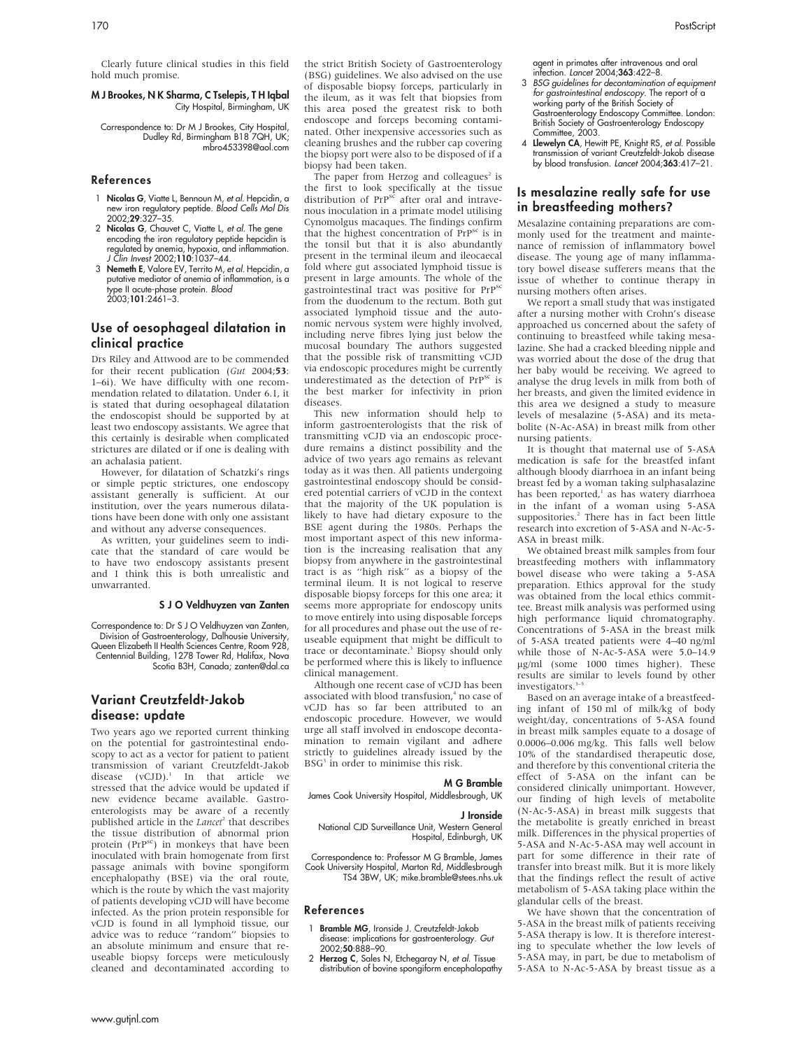Clearly future clinical studies in this field hold much promise.

#### M J Brookes, N K Sharma, C Tselepis, T H Iqbal City Hospital, Birmingham, UK

Correspondence to: Dr M J Brookes, City Hospital, Dudley Rd, Birmingham B18 7QH, UK; mbro453398@aol.com

#### References

- 1 Nicolas G, Viatte L, Bennoun M, et al. Hepcidin, a new iron regulatory peptide. *Blood Cells Mol Dis*<br>2002;**29**:327–35.
- 2 **Nicolas G**, Chauvet C, Viatte L, *et al*. The gene encoding the iron regulatory peptide hepcidin is regulated by anemia, hypoxia, and inflammation. J Clin Invest 2002;110:1037–44.
- 3 Nemeth E, Valore EV, Territo M, et al. Hepcidin, a putative mediator of anemia of inflammation, is a be II acute-phase protein. Blood 2003;101:2461–3.

## Use of oesophageal dilatation in clinical practice

Drs Riley and Attwood are to be commended for their recent publication (Gut 2004;53: 1–6i). We have difficulty with one recommendation related to dilatation. Under 6.1, it is stated that during oesophageal dilatation the endoscopist should be supported by at least two endoscopy assistants. We agree that this certainly is desirable when complicated strictures are dilated or if one is dealing with an achalasia patient.

However, for dilatation of Schatzki's rings or simple peptic strictures, one endoscopy assistant generally is sufficient. At our institution, over the years numerous dilatations have been done with only one assistant and without any adverse consequences.

As written, your guidelines seem to indicate that the standard of care would be to have two endoscopy assistants present and I think this is both unrealistic and unwarranted.

#### S J O Veldhuyzen van Zanten

Correspondence to: Dr S J O Veldhuyzen van Zanten, Division of Gastroenterology, Dalhousie University, Queen Elizabeth II Health Sciences Centre, Room 928, Centennial Building, 1278 Tower Rd, Halifax, Nova Scotia B3H, Canada; zanten@dal.ca

## Variant Creutzfeldt-Jakob disease: update

Two years ago we reported current thinking on the potential for gastrointestinal endoscopy to act as a vector for patient to patient transmission of variant Creutzfeldt-Jakob<br>disease  $(vCD)^{-1}$  In that article we  $(vCJD)$ .<sup>1</sup> In that article we stressed that the advice would be updated if new evidence became available. Gastroenterologists may be aware of a recently published article in the Lancet<sup>2</sup> that describes the tissue distribution of abnormal prion protein (PrP<sup>sc</sup>) in monkeys that have been inoculated with brain homogenate from first passage animals with bovine spongiform encephalopathy (BSE) via the oral route, which is the route by which the vast majority of patients developing vCJD will have become infected. As the prion protein responsible for vCJD is found in all lymphoid tissue, our advice was to reduce ''random'' biopsies to an absolute minimum and ensure that reuseable biopsy forceps were meticulously cleaned and decontaminated according to

the strict British Society of Gastroenterology (BSG) guidelines. We also advised on the use of disposable biopsy forceps, particularly in the ileum, as it was felt that biopsies from this area posed the greatest risk to both endoscope and forceps becoming contaminated. Other inexpensive accessories such as cleaning brushes and the rubber cap covering the biopsy port were also to be disposed of if a biopsy had been taken.

The paper from Herzog and colleagues<sup>2</sup> is the first to look specifically at the tissue distribution of PrP<sup>sc</sup> after oral and intravenous inoculation in a primate model utilising Cynomolgus macaques. The findings confirm that the highest concentration of PrP<sup>sc</sup> is in the tonsil but that it is also abundantly present in the terminal ileum and ileocaecal fold where gut associated lymphoid tissue is present in large amounts. The whole of the gastrointestinal tract was positive for PrP<sup>sc</sup> from the duodenum to the rectum. Both gut associated lymphoid tissue and the autonomic nervous system were highly involved, including nerve fibres lying just below the mucosal boundary The authors suggested that the possible risk of transmitting vCJD via endoscopic procedures might be currently underestimated as the detection of PrP<sup>sc</sup> is the best marker for infectivity in prion diseases.

This new information should help to inform gastroenterologists that the risk of transmitting vCJD via an endoscopic procedure remains a distinct possibility and the advice of two years ago remains as relevant today as it was then. All patients undergoing gastrointestinal endoscopy should be considered potential carriers of vCJD in the context that the majority of the UK population is likely to have had dietary exposure to the BSE agent during the 1980s. Perhaps the most important aspect of this new information is the increasing realisation that any biopsy from anywhere in the gastrointestinal tract is as ''high risk'' as a biopsy of the terminal ileum. It is not logical to reserve disposable biopsy forceps for this one area; it seems more appropriate for endoscopy units to move entirely into using disposable forceps for all procedures and phase out the use of reuseable equipment that might be difficult to trace or decontaminate.<sup>3</sup> Biopsy should only be performed where this is likely to influence clinical management.

Although one recent case of vCJD has been associated with blood transfusion,<sup>4</sup> no case of vCJD has so far been attributed to an endoscopic procedure. However, we would urge all staff involved in endoscope decontamination to remain vigilant and adhere strictly to guidelines already issued by the  $BSG<sup>3</sup>$  in order to minimise this risk.

#### M G Bramble

James Cook University Hospital, Middlesbrough, UK

#### J Ironside

National CJD Surveillance Unit, Western General Hospital, Edinburgh, UK

Correspondence to: Professor M G Bramble, James Cook University Hospital, Marton Rd, Middlesbrough TS4 3BW, UK; mike.bramble@stees.nhs.uk

#### References

- 1 Bramble MG, Ironside J. Creutzfeldt-Jakob disease: implications for gastroenterology. *Gut*<br>2002;**50**:888–90.
- 2 Herzog C, Sales N, Etchegaray N, et al. Tissue distribution of bovine spongiform encephalopathy

agent in primates after intravenous and oral infection. Lancet 2004;363:422–8.

- 3 BSG guidelines for decontamination of equipment for gastrointestinal endoscopy. The report of a working party of the British Society of Gastroenterology Endoscopy Committee. London: British Society of Gastroenterology Endoscopy Committee, 2003.
- 4 Llewelyn CA, Hewitt PE, Knight RS, et al. Possible transmission of variant Creutzfeldt-Jakob disease by blood transfusion. Lancet 2004;363:417–21.

## Is mesalazine really safe for use in breastfeeding mothers?

Mesalazine containing preparations are commonly used for the treatment and maintenance of remission of inflammatory bowel disease. The young age of many inflammatory bowel disease sufferers means that the issue of whether to continue therapy in nursing mothers often arises.

We report a small study that was instigated after a nursing mother with Crohn's disease approached us concerned about the safety of continuing to breastfeed while taking mesalazine. She had a cracked bleeding nipple and was worried about the dose of the drug that her baby would be receiving. We agreed to analyse the drug levels in milk from both of her breasts, and given the limited evidence in this area we designed a study to measure levels of mesalazine (5-ASA) and its metabolite (N-Ac-ASA) in breast milk from other nursing patients.

It is thought that maternal use of 5-ASA medication is safe for the breastfed infant although bloody diarrhoea in an infant being breast fed by a woman taking sulphasalazine has been reported,<sup>1</sup> as has watery diarrhoea in the infant of a woman using 5-ASA suppositories.<sup>2</sup> There has in fact been little research into excretion of 5-ASA and N-Ac-5- ASA in breast milk.

We obtained breast milk samples from four breastfeeding mothers with inflammatory bowel disease who were taking a 5-ASA preparation. Ethics approval for the study was obtained from the local ethics committee. Breast milk analysis was performed using high performance liquid chromatography. Concentrations of 5-ASA in the breast milk of 5-ASA treated patients were 4–40 ng/ml while those of N-Ac-5-ASA were 5.0–14.9 µg/ml (some 1000 times higher). These results are similar to levels found by other investigators. $3-$ 

Based on an average intake of a breastfeeding infant of 150 ml of milk/kg of body weight/day, concentrations of 5-ASA found in breast milk samples equate to a dosage of 0.0006–0.006 mg/kg. This falls well below 10% of the standardised therapeutic dose, and therefore by this conventional criteria the effect of 5-ASA on the infant can be considered clinically unimportant. However, our finding of high levels of metabolite (N-Ac-5-ASA) in breast milk suggests that the metabolite is greatly enriched in breast milk. Differences in the physical properties of 5-ASA and N-Ac-5-ASA may well account in part for some difference in their rate of transfer into breast milk. But it is more likely that the findings reflect the result of active metabolism of 5-ASA taking place within the glandular cells of the breast.

We have shown that the concentration of 5-ASA in the breast milk of patients receiving 5-ASA therapy is low. It is therefore interesting to speculate whether the low levels of 5-ASA may, in part, be due to metabolism of 5-ASA to N-Ac-5-ASA by breast tissue as a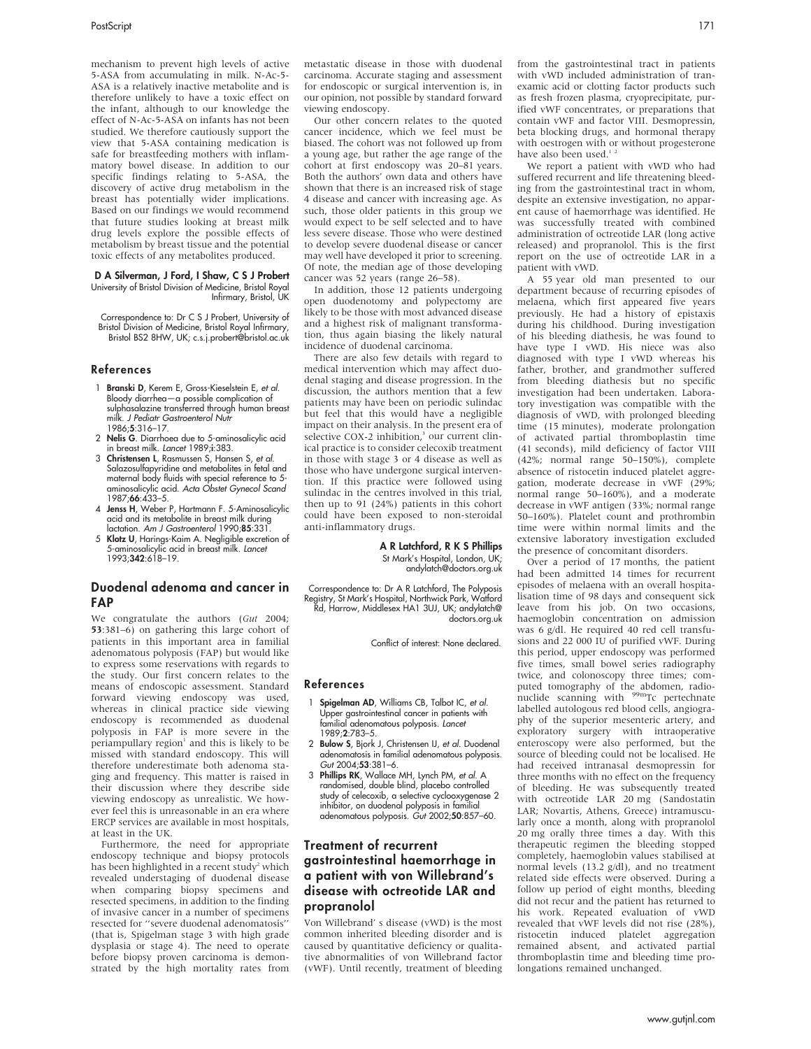mechanism to prevent high levels of active 5-ASA from accumulating in milk. N-Ac-5- ASA is a relatively inactive metabolite and is therefore unlikely to have a toxic effect on the infant, although to our knowledge the effect of N-Ac-5-ASA on infants has not been studied. We therefore cautiously support the view that 5-ASA containing medication is safe for breastfeeding mothers with inflammatory bowel disease. In addition to our specific findings relating to 5-ASA, the discovery of active drug metabolism in the breast has potentially wider implications. Based on our findings we would recommend that future studies looking at breast milk drug levels explore the possible effects of metabolism by breast tissue and the potential toxic effects of any metabolites produced.

D A Silverman, J Ford, I Shaw, C S J Probert University of Bristol Division of Medicine, Bristol Royal Infirmary, Bristol, UK

Correspondence to: Dr C S J Probert, University of Bristol Division of Medicine, Bristol Royal Infirmary, Bristol BS2 8HW, UK; c.s.j.probert@bristol.ac.uk

#### References

- 1 Branski D, Kerem E, Gross-Kieselstein E, et al. Bloody diarrhea—a possible complication of sulphasalazine transferred through human breast milk. J Pediatr Gastroenterol Nutr 1986;5:316–17.
- 2 Nelis G. Diarrhoea due to 5-aminosalicylic acid in breast milk. Lancet 1989;i:383.
- 3 Christensen L, Rasmussen S, Hansen S, et al. Salazosulfapyridine and metabolites in fetal and maternal body fluids with special reference to 5 aminosalicylic acid. Acta Obstet Gynecol Scand 1987;66:433–5.
- 4 Jenss H, Weber P, Hartmann F. 5-Aminosalicylic acid and its metabolite in breast milk during lactation. Am J Gastroenterol 1990;85:331.
- 5 Klotz U, Harings-Kaim A. Negligible excretion of 5-aminosalicylic acid in breast milk. Lancet 1993;342:618–19.

## Duodenal adenoma and cancer in FAP

We congratulate the authors (Gut 2004; 53:381–6) on gathering this large cohort of patients in this important area in familial adenomatous polyposis (FAP) but would like to express some reservations with regards to the study. Our first concern relates to the means of endoscopic assessment. Standard forward viewing endoscopy was used, whereas in clinical practice side viewing endoscopy is recommended as duodenal polyposis in FAP is more severe in the periampullary region<sup>1</sup> and this is likely to be missed with standard endoscopy. This will therefore underestimate both adenoma staging and frequency. This matter is raised in their discussion where they describe side viewing endoscopy as unrealistic. We however feel this is unreasonable in an era where ERCP services are available in most hospitals, at least in the UK.

Furthermore, the need for appropriate endoscopy technique and biopsy protocols has been highlighted in a recent study<sup>2</sup> which revealed understaging of duodenal disease when comparing biopsy specimens and resected specimens, in addition to the finding of invasive cancer in a number of specimens resected for ''severe duodenal adenomatosis'' (that is, Spigelman stage 3 with high grade dysplasia or stage 4). The need to operate before biopsy proven carcinoma is demonstrated by the high mortality rates from metastatic disease in those with duodenal carcinoma. Accurate staging and assessment for endoscopic or surgical intervention is, in our opinion, not possible by standard forward viewing endoscopy.

Our other concern relates to the quoted cancer incidence, which we feel must be biased. The cohort was not followed up from a young age, but rather the age range of the cohort at first endoscopy was 20–81 years. Both the authors' own data and others have shown that there is an increased risk of stage 4 disease and cancer with increasing age. As such, those older patients in this group we would expect to be self selected and to have less severe disease. Those who were destined to develop severe duodenal disease or cancer may well have developed it prior to screening. Of note, the median age of those developing cancer was 52 years (range 26–58).

In addition, those 12 patients undergoing open duodenotomy and polypectomy are likely to be those with most advanced disease and a highest risk of malignant transformation, thus again biasing the likely natural incidence of duodenal carcinoma.

There are also few details with regard to medical intervention which may affect duodenal staging and disease progression. In the discussion, the authors mention that a few patients may have been on periodic sulindac but feel that this would have a negligible impact on their analysis. In the present era of selective COX-2 inhibition,<sup>3</sup> our current clinical practice is to consider celecoxib treatment in those with stage 3 or 4 disease as well as those who have undergone surgical intervention. If this practice were followed using sulindac in the centres involved in this trial, then up to 91 (24%) patients in this cohort could have been exposed to non-steroidal anti-inflammatory drugs.

> A R Latchford, R K S Phillips St Mark's Hospital, London, UK; andylatch@doctors.org.uk

Correspondence to: Dr A R Latchford, The Polyposis Registry, St Mark's Hospital, Northwick Park, Watford Rd, Harrow, Middlesex HA1 3UJ, UK; andylatch@ doctors.org.uk

Conflict of interest: None declared.

#### References

- 1 Spigelman AD, Williams CB, Talbot IC, et al. Upper gastrointestinal cancer in patients with familial adenomatous polyposis. Lancet 1989;2:783–5.
- 2 Bulow S, Bjork J, Christensen IJ, et al. Duodenal adenomatosis in familial adenomatous polyposis. Gut 2004;53:381-6.
- 3 Phillips RK, Wallace MH, Lynch PM, et al. A randomised, double blind, placebo controlled study of celecoxib, a selective cyclooxygenase 2 inhibitor, on duodenal polyposis in familial adenomatous polyposis. Gut 2002;50:857–60.

## Treatment of recurrent gastrointestinal haemorrhage in a patient with von Willebrand's disease with octreotide LAR and propranolol

Von Willebrand' s disease (vWD) is the most common inherited bleeding disorder and is caused by quantitative deficiency or qualitative abnormalities of von Willebrand factor (vWF). Until recently, treatment of bleeding from the gastrointestinal tract in patients with vWD included administration of tranexamic acid or clotting factor products such as fresh frozen plasma, cryoprecipitate, purified vWF concentrates, or preparations that contain vWF and factor VIII. Desmopressin, beta blocking drugs, and hormonal therapy with oestrogen with or without progesterone have also been used. $<sup>1</sup>$ </sup>

We report a patient with vWD who had suffered recurrent and life threatening bleeding from the gastrointestinal tract in whom, despite an extensive investigation, no apparent cause of haemorrhage was identified. He was successfully treated with combined administration of octreotide LAR (long active released) and propranolol. This is the first report on the use of octreotide LAR in a patient with vWD.

A 55 year old man presented to our department because of recurring episodes of melaena, which first appeared five years previously. He had a history of epistaxis during his childhood. During investigation of his bleeding diathesis, he was found to have type I vWD. His niece was also diagnosed with type I vWD whereas his father, brother, and grandmother suffered from bleeding diathesis but no specific investigation had been undertaken. Laboratory investigation was compatible with the diagnosis of vWD, with prolonged bleeding time (15 minutes), moderate prolongation of activated partial thromboplastin time (41 seconds), mild deficiency of factor VIII (42%; normal range 50–150%), complete absence of ristocetin induced platelet aggregation, moderate decrease in vWF (29%; normal range 50–160%), and a moderate decrease in vWF antigen (33%; normal range 50–160%). Platelet count and prothrombin time were within normal limits and the extensive laboratory investigation excluded the presence of concomitant disorders.

Over a period of 17 months, the patient had been admitted 14 times for recurrent episodes of melaena with an overall hospitalisation time of 98 days and consequent sick leave from his job. On two occasions, haemoglobin concentration on admission was 6 g/dl. He required 40 red cell transfusions and 22 000 IU of purified vWF. During this period, upper endoscopy was performed five times, small bowel series radiography twice, and colonoscopy three times; computed tomography of the abdomen, radionuclide scanning with  $99<sup>cm</sup>$ Tc pertechnate labelled autologous red blood cells, angiography of the superior mesenteric artery, and exploratory surgery with intraoperative enteroscopy were also performed, but the source of bleeding could not be localised. He had received intranasal desmopressin for three months with no effect on the frequency of bleeding. He was subsequently treated with octreotide LAR 20 mg (Sandostatin LAR; Novartis, Athens, Greece) intramuscularly once a month, along with propranolol 20 mg orally three times a day. With this therapeutic regimen the bleeding stopped completely, haemoglobin values stabilised at normal levels (13.2 g/dl), and no treatment related side effects were observed. During a follow up period of eight months, bleeding did not recur and the patient has returned to his work. Repeated evaluation of vWD revealed that vWF levels did not rise (28%), ristocetin induced platelet aggregation remained absent, and activated partial thromboplastin time and bleeding time prolongations remained unchanged.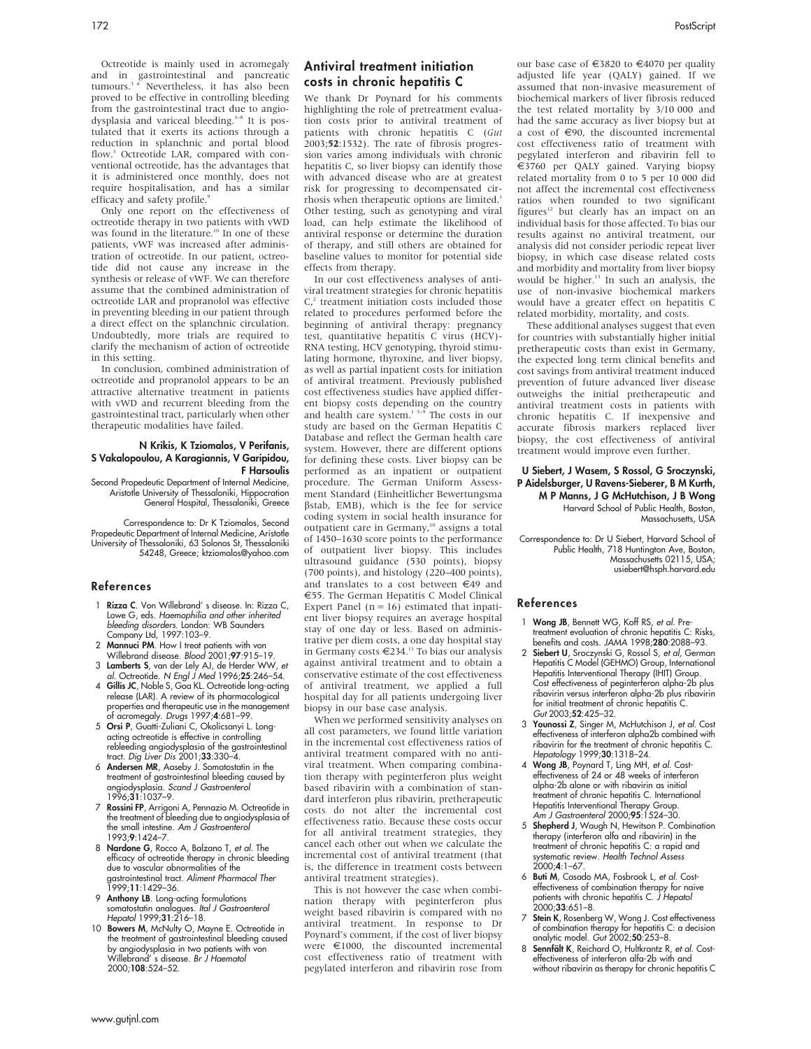Octreotide is mainly used in acromegaly and in gastrointestinal and pancreatic tumours.<sup>34</sup> Nevertheless, it has also been proved to be effective in controlling bleeding from the gastrointestinal tract due to angiodysplasia and variceal bleeding.<sup>3-8</sup> It is postulated that it exerts its actions through a reduction in splanchnic and portal blood flow.3 Octreotide LAR, compared with conventional octreotide, has the advantages that it is administered once monthly, does not require hospitalisation, and has a similar efficacy and safety profile.<sup>9</sup>

Only one report on the effectiveness of octreotide therapy in two patients with vWD was found in the literature.<sup>10</sup> In one of these patients, vWF was increased after administration of octreotide. In our patient, octreotide did not cause any increase in the synthesis or release of vWF. We can therefore assume that the combined administration of octreotide LAR and propranolol was effective in preventing bleeding in our patient through a direct effect on the splanchnic circulation. Undoubtedly, more trials are required to clarify the mechanism of action of octreotide in this setting.

In conclusion, combined administration of octreotide and propranolol appears to be an attractive alternative treatment in patients with vWD and recurrent bleeding from the gastrointestinal tract, particularly when other therapeutic modalities have failed.

#### N Krikis, K Tziomalos, V Perifanis, S Vakalopoulou, A Karagiannis, V Garipidou, F Harsoulis

Second Propedeutic Department of Internal Medicine, Aristotle University of Thessaloniki, Hippocration General Hospital, Thessaloniki, Greece

Correspondence to: Dr K Tziomalos, Second Propedeutic Department of Internal Medicine, Aristotle University of Thessaloniki, 63 Solonos St, Thessaloniki 54248, Greece; ktziomalos@yahoo.com

#### References

- 1 Rizza C. Von Willebrand' s disease. In: Rizza C, Lowe G, eds. Haemophilia and other inherited bleeding disorders. London: WB Saunders Company Ltd, 1997:103–9.
- 2 Mannuci PM. How I treat patients with von Willebrand disease. Blood 2001;97:915–19.
- 3 Lamberts S, van der Lely AJ, de Herder WW, et al. Octreotide. N Engl J Med 1996;25:246–54. 4 Gillis JC, Noble S, Goa KL. Octreotide long-acting
- release (LAR). A review of its pharmacological properties and therapeutic use in the management of acromegaly. Drugs 1997;4:681–99.
- 5 Orsi P, Guatti-Zuliani C, Okolicsanyi L. Longacting octreotide is effective in controlling rebleeding angiodysplasia of the gastrointestinal tract. Dig Liver Dis 2001;33:330–4.
- 6 Andersen MR, Aaseby J. Somatostatin in the treatment of gastrointestinal bleeding caused by angiodysplasia. Scand J Gastroenterol 1996;31:1037–9.
- 7 Rossini FP, Arrigoni A, Pennazio M. Octreotide in the treatment of bleeding due to angiodysplasia of the small intestine. Am J Gastroenterol 1993:9:1424-7.
- 8 Nardone G, Rocco A, Balzano T, et al. The efficacy of octreotide therapy in chronic bleeding due to vascular abnormalities of the gastrointestinal tract. Aliment Pharmacol Ther 1999;11:1429–36.
- 9 Anthony LB. Long-acting formulations somatostatin analogues. Ital J Gastroenterol Hepatol 1999;31:216–18.
- 10 **Bowers M**, McNulty O, Mayne E. Octreotide in the treatment of gastrointestinal bleeding caused by angiodysplasia in two patients with von Willebrand' s disease. Br J Haematol 2000;108:524–52.

## Antiviral treatment initiation costs in chronic hepatitis C

We thank Dr Poynard for his comments highlighting the role of pretreatment evaluation costs prior to antiviral treatment of patients with chronic hepatitis C (Gut  $2003;52:1532$ ). The rate of fibrosis progression varies among individuals with chronic hepatitis C, so liver biopsy can identify those with advanced disease who are at greatest risk for progressing to decompensated cirrhosis when therapeutic options are limited.<sup>1</sup> Other testing, such as genotyping and viral load, can help estimate the likelihood of antiviral response or determine the duration of therapy, and still others are obtained for baseline values to monitor for potential side effects from therapy.

In our cost effectiveness analyses of antiviral treatment strategies for chronic hepatitis  $C<sup>2</sup>$  treatment initiation costs included those related to procedures performed before the beginning of antiviral therapy: pregnancy test, quantitative hepatitis C virus (HCV)- RNA testing, HCV genotyping, thyroid stimulating hormone, thyroxine, and liver biopsy, as well as partial inpatient costs for initiation of antiviral treatment. Previously published cost effectiveness studies have applied different biopsy costs depending on the country and health care system.<sup>1 3-9</sup> The costs in our study are based on the German Hepatitis C Database and reflect the German health care system. However, there are different options for defining these costs. Liver biopsy can be performed as an inpatient or outpatient procedure. The German Uniform Assessment Standard (Einheitlicher Bewertungsma  $\beta$ stab, EMB), which is the fee for service coding system in social health insurance for outpatient care in Germany,<sup>10</sup> assigns a total of 1450–1630 score points to the performance of outpatient liver biopsy. This includes ultrasound guidance (530 points), biopsy (700 points), and histology (220–400 points), and translates to a cost between  $\in$ 49 and  $€55.$  The German Hepatitis C Model Clinical Expert Panel  $(n = 16)$  estimated that inpatient liver biopsy requires an average hospital stay of one day or less. Based on administrative per diem costs, a one day hospital stay in Germany costs  $\in$  234.<sup>11</sup> To bias our analysis against antiviral treatment and to obtain a conservative estimate of the cost effectiveness of antiviral treatment, we applied a full hospital day for all patients undergoing liver biopsy in our base case analysis.

When we performed sensitivity analyses on all cost parameters, we found little variation in the incremental cost effectiveness ratios of antiviral treatment compared with no antiviral treatment. When comparing combination therapy with peginterferon plus weight based ribavirin with a combination of standard interferon plus ribavirin, pretherapeutic costs do not alter the incremental cost effectiveness ratio. Because these costs occur for all antiviral treatment strategies, they cancel each other out when we calculate the incremental cost of antiviral treatment (that is, the difference in treatment costs between antiviral treatment strategies).

This is not however the case when combination therapy with peginterferon plus weight based ribavirin is compared with no antiviral treatment. In response to Dr Poynard's comment, if the cost of liver biopsy were  $\in$ 1000, the discounted incremental cost effectiveness ratio of treatment with pegylated interferon and ribavirin rose from

our base case of  $\text{\textsterling}3820$  to  $\text{\textsterling}4070$  per quality adjusted life year (QALY) gained. If we assumed that non-invasive measurement of biochemical markers of liver fibrosis reduced the test related mortality by 3/10 000 and had the same accuracy as liver biopsy but at a cost of  $\in$ 90, the discounted incremental cost effectiveness ratio of treatment with pegylated interferon and ribavirin fell to €3760 per QALY gained. Varying biopsy related mortality from 0 to 5 per 10 000 did not affect the incremental cost effectiveness ratios when rounded to two significant figures<sup>12</sup> but clearly has an impact on an individual basis for those affected. To bias our results against no antiviral treatment, our analysis did not consider periodic repeat liver biopsy, in which case disease related costs and morbidity and mortality from liver biopsy would be higher.<sup>13</sup> In such an analysis, the use of non-invasive biochemical markers would have a greater effect on hepatitis C related morbidity, mortality, and costs.

These additional analyses suggest that even for countries with substantially higher initial pretherapeutic costs than exist in Germany, the expected long term clinical benefits and cost savings from antiviral treatment induced prevention of future advanced liver disease outweighs the initial pretherapeutic and antiviral treatment costs in patients with chronic hepatitis C. If inexpensive and accurate fibrosis markers replaced liver biopsy, the cost effectiveness of antiviral treatment would improve even further.

#### U Siebert, J Wasem, S Rossol, G Sroczynski, P Aidelsburger, U Ravens-Sieberer, B M Kurth, M P Manns, J G McHutchison, J B Wong Harvard School of Public Health, Boston, Massachusetts, USA

Correspondence to: Dr U Siebert, Harvard School of Public Health, 718 Huntington Ave, Boston, Massachusetts 02115, USA; usiebert@hsph.harvard.edu

#### References

- 1 Wong JB, Bennett WG, Koff RS, et al. Pretreatment evaluation of chronic hepatitis C: Risks, benefits and costs. JAMA 1998;280:2088–93.
- 2 Siebert U, Sroczynski G, Rossol S, et al, German Hepatitis C Model (GEHMO) Group, International Hepatitis Interventional Therapy (IHIT) Group. Cost effectiveness of peginterferon alpha-2b plus ribavirin versus interferon alpha-2b plus ribavirin for initial treatment of chronic hepatitis C. Gut 2003;52:425–32.
- 3 Younossi Z, Singer M, McHutchison J, et al. Cost effectiveness of interferon alpha2b combined with ribavirin for the treatment of chronic hepatitis C. Hepatology 1999;30:1318–24.
- 4 Wong JB, Poynard T, Ling MH, et al. Costeffectiveness of 24 or 48 weeks of interferon alpha-2b alone or with ribavirin as initial treatment of chronic hepatitis C. International Hepatitis Interventional Therapy Group. Am J Gastroenterol 2000;95:1524–30.
- 5 Shepherd J, Waugh N, Hewitson P. Combination therapy (interferon alfa and ribavirin) in the treatment of chronic hepatitis C: a rapid and<br>systematic review. *Health Technol Assess*  $2000:4:1-67$
- Buti M, Casado MA, Fosbrook L, et al. Costeffectiveness of combination therapy for naive<br>patients with chronic hepatitis C. *J Hepatol*  $2000:33:651-8$ .
- 7 Stein K, Rosenberg W, Wong J. Cost effectiveness of combination therapy for hepatitis C: a decision analytic model. Gut 2002;50:253–8.
- 8 Sennfält K, Reichard O, Hultkrantz R, et al. Costeffectiveness of interferon alfa-2b with and without ribavirin as therapy for chronic hepatitis C